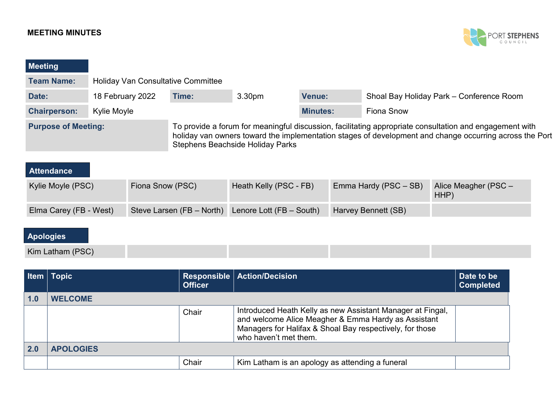## **MEETING MINUTES**



| Meeting                    |                  |                                           |                                                                                                                                                                                                                                                               |                        |                 |  |                       |                                          |  |
|----------------------------|------------------|-------------------------------------------|---------------------------------------------------------------------------------------------------------------------------------------------------------------------------------------------------------------------------------------------------------------|------------------------|-----------------|--|-----------------------|------------------------------------------|--|
| <b>Team Name:</b>          |                  | <b>Holiday Van Consultative Committee</b> |                                                                                                                                                                                                                                                               |                        |                 |  |                       |                                          |  |
| Date:                      | 18 February 2022 |                                           | Time:                                                                                                                                                                                                                                                         | 3.30 <sub>pm</sub>     | <b>Venue:</b>   |  |                       | Shoal Bay Holiday Park - Conference Room |  |
| <b>Chairperson:</b>        | Kylie Moyle      |                                           |                                                                                                                                                                                                                                                               |                        | <b>Minutes:</b> |  | Fiona Snow            |                                          |  |
| <b>Purpose of Meeting:</b> |                  |                                           | To provide a forum for meaningful discussion, facilitating appropriate consultation and engagement with<br>holiday van owners toward the implementation stages of development and change occurring across the Port<br><b>Stephens Beachside Holiday Parks</b> |                        |                 |  |                       |                                          |  |
| <b>Attendance</b>          |                  |                                           |                                                                                                                                                                                                                                                               |                        |                 |  |                       |                                          |  |
| Kylie Moyle (PSC)          |                  | Fiona Snow (PSC)                          |                                                                                                                                                                                                                                                               | Heath Kelly (PSC - FB) |                 |  | Emma Hardy (PSC - SB) | Alice Meagher (PSC -<br>HHP)             |  |

| Elma Carey (FB - West) Steve Larsen (FB – North) Lenore Lott (FB – South) Harvey Bennett (SB) |  |  |
|-----------------------------------------------------------------------------------------------|--|--|

## **Apologies**

| Kim Laun<br>$\sqrt{2}$ |  |  |
|------------------------|--|--|

|     | Item Topic       | <b>Officer</b> | Responsible   Action/Decision                                                                                                                                                                          | Date to be<br><b>Completed</b> |
|-----|------------------|----------------|--------------------------------------------------------------------------------------------------------------------------------------------------------------------------------------------------------|--------------------------------|
| 1.0 | <b>WELCOME</b>   |                |                                                                                                                                                                                                        |                                |
|     |                  | Chair          | Introduced Heath Kelly as new Assistant Manager at Fingal,<br>and welcome Alice Meagher & Emma Hardy as Assistant<br>Managers for Halifax & Shoal Bay respectively, for those<br>who haven't met them. |                                |
| 2.0 | <b>APOLOGIES</b> |                |                                                                                                                                                                                                        |                                |
|     |                  | Chair          | Kim Latham is an apology as attending a funeral                                                                                                                                                        |                                |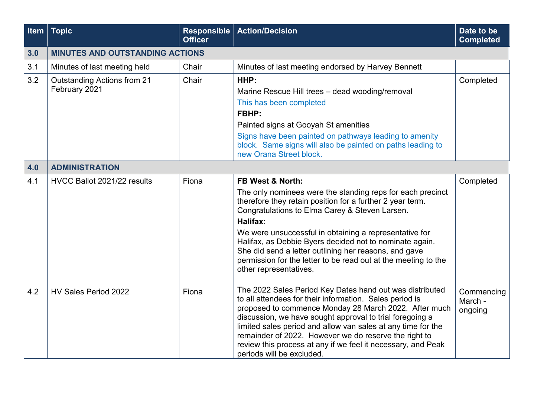| Item $ $ | <b>Topic</b>                           | <b>Responsible</b><br><b>Officer</b> | <b>Action/Decision</b>                                                                                                                                                                                                                                                                                                                                                                                                                                         | Date to be<br><b>Completed</b>   |
|----------|----------------------------------------|--------------------------------------|----------------------------------------------------------------------------------------------------------------------------------------------------------------------------------------------------------------------------------------------------------------------------------------------------------------------------------------------------------------------------------------------------------------------------------------------------------------|----------------------------------|
| 3.0      | <b>MINUTES AND OUTSTANDING ACTIONS</b> |                                      |                                                                                                                                                                                                                                                                                                                                                                                                                                                                |                                  |
| 3.1      | Minutes of last meeting held           | Chair                                | Minutes of last meeting endorsed by Harvey Bennett                                                                                                                                                                                                                                                                                                                                                                                                             |                                  |
| 3.2      | <b>Outstanding Actions from 21</b>     | Chair                                | HHP:                                                                                                                                                                                                                                                                                                                                                                                                                                                           | Completed                        |
|          | February 2021                          |                                      | Marine Rescue Hill trees - dead wooding/removal                                                                                                                                                                                                                                                                                                                                                                                                                |                                  |
|          |                                        |                                      | This has been completed                                                                                                                                                                                                                                                                                                                                                                                                                                        |                                  |
|          |                                        |                                      | FBHP:                                                                                                                                                                                                                                                                                                                                                                                                                                                          |                                  |
|          |                                        |                                      | Painted signs at Gooyah St amenities                                                                                                                                                                                                                                                                                                                                                                                                                           |                                  |
|          |                                        |                                      | Signs have been painted on pathways leading to amenity<br>block. Same signs will also be painted on paths leading to<br>new Orana Street block.                                                                                                                                                                                                                                                                                                                |                                  |
| 4.0      | <b>ADMINISTRATION</b>                  |                                      |                                                                                                                                                                                                                                                                                                                                                                                                                                                                |                                  |
| 4.1      | HVCC Ballot 2021/22 results            | Fiona                                | <b>FB West &amp; North:</b>                                                                                                                                                                                                                                                                                                                                                                                                                                    | Completed                        |
|          |                                        |                                      | The only nominees were the standing reps for each precinct<br>therefore they retain position for a further 2 year term.<br>Congratulations to Elma Carey & Steven Larsen.                                                                                                                                                                                                                                                                                      |                                  |
|          |                                        |                                      | Halifax:                                                                                                                                                                                                                                                                                                                                                                                                                                                       |                                  |
|          |                                        |                                      | We were unsuccessful in obtaining a representative for<br>Halifax, as Debbie Byers decided not to nominate again.<br>She did send a letter outlining her reasons, and gave<br>permission for the letter to be read out at the meeting to the<br>other representatives.                                                                                                                                                                                         |                                  |
| 4.2      | HV Sales Period 2022                   | Fiona                                | The 2022 Sales Period Key Dates hand out was distributed<br>to all attendees for their information. Sales period is<br>proposed to commence Monday 28 March 2022. After much<br>discussion, we have sought approval to trial foregoing a<br>limited sales period and allow van sales at any time for the<br>remainder of 2022. However we do reserve the right to<br>review this process at any if we feel it necessary, and Peak<br>periods will be excluded. | Commencing<br>March -<br>ongoing |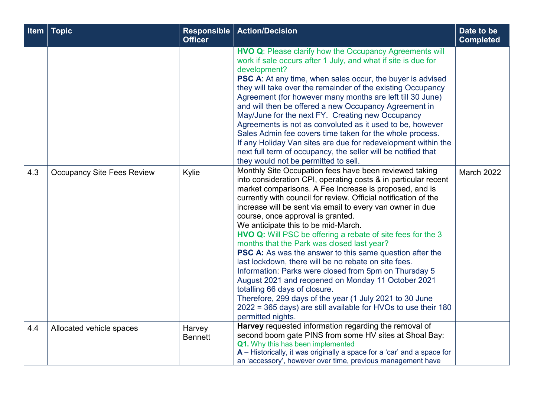| <b>Item</b> | <b>Topic</b>                      | <b>Responsible</b><br><b>Officer</b> | <b>Action/Decision</b>                                                                                                                                                                                                                                                                                                                                                                                                                                                                                                                                                                                                                                                                                                                                                                                                                                                                | Date to be<br><b>Completed</b> |
|-------------|-----------------------------------|--------------------------------------|---------------------------------------------------------------------------------------------------------------------------------------------------------------------------------------------------------------------------------------------------------------------------------------------------------------------------------------------------------------------------------------------------------------------------------------------------------------------------------------------------------------------------------------------------------------------------------------------------------------------------------------------------------------------------------------------------------------------------------------------------------------------------------------------------------------------------------------------------------------------------------------|--------------------------------|
|             |                                   |                                      | <b>HVO Q: Please clarify how the Occupancy Agreements will</b><br>work if sale occurs after 1 July, and what if site is due for<br>development?<br>PSC A: At any time, when sales occur, the buyer is advised<br>they will take over the remainder of the existing Occupancy<br>Agreement (for however many months are left till 30 June)<br>and will then be offered a new Occupancy Agreement in<br>May/June for the next FY. Creating new Occupancy<br>Agreements is not as convoluted as it used to be, however<br>Sales Admin fee covers time taken for the whole process.<br>If any Holiday Van sites are due for redevelopment within the<br>next full term of occupancy, the seller will be notified that<br>they would not be permitted to sell.<br>Monthly Site Occupation fees have been reviewed taking                                                                   |                                |
| 4.3         | <b>Occupancy Site Fees Review</b> | Kylie                                | into consideration CPI, operating costs & in particular recent<br>market comparisons. A Fee Increase is proposed, and is<br>currently with council for review. Official notification of the<br>increase will be sent via email to every van owner in due<br>course, once approval is granted.<br>We anticipate this to be mid-March.<br><b>HVO Q:</b> Will PSC be offering a rebate of site fees for the 3<br>months that the Park was closed last year?<br><b>PSC A:</b> As was the answer to this same question after the<br>last lockdown, there will be no rebate on site fees.<br>Information: Parks were closed from 5pm on Thursday 5<br>August 2021 and reopened on Monday 11 October 2021<br>totalling 66 days of closure.<br>Therefore, 299 days of the year (1 July 2021 to 30 June<br>2022 = 365 days) are still available for HVOs to use their 180<br>permitted nights. | <b>March 2022</b>              |
| 4.4         | Allocated vehicle spaces          | Harvey<br><b>Bennett</b>             | Harvey requested information regarding the removal of<br>second boom gate PINS from some HV sites at Shoal Bay:<br>Q1. Why this has been implemented<br>$A$ – Historically, it was originally a space for a 'car' and a space for<br>an 'accessory', however over time, previous management have                                                                                                                                                                                                                                                                                                                                                                                                                                                                                                                                                                                      |                                |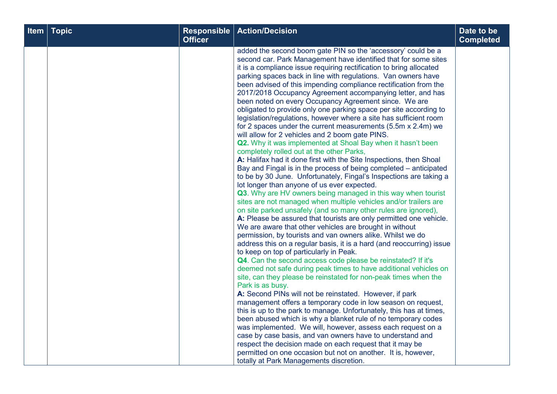| Date to be<br><b>Completed</b> | <b>Action/Decision</b>                                                                                                                                                                                                                                                                                                                                                                                                                                                                                                                                                                                                                                                                                                                                                                                                                                                                                                                                                                                                                                                                                                                                                                                                                                                                                                                                                                                                                                                                                                                                                                                                                                                                                                                                                                                                                                                                                                                                                                                                                                                                                                                                                                                                                                                                                                                                                                      | <b>Responsible</b><br><b>Officer</b> | <b>Topic</b> | Item |
|--------------------------------|---------------------------------------------------------------------------------------------------------------------------------------------------------------------------------------------------------------------------------------------------------------------------------------------------------------------------------------------------------------------------------------------------------------------------------------------------------------------------------------------------------------------------------------------------------------------------------------------------------------------------------------------------------------------------------------------------------------------------------------------------------------------------------------------------------------------------------------------------------------------------------------------------------------------------------------------------------------------------------------------------------------------------------------------------------------------------------------------------------------------------------------------------------------------------------------------------------------------------------------------------------------------------------------------------------------------------------------------------------------------------------------------------------------------------------------------------------------------------------------------------------------------------------------------------------------------------------------------------------------------------------------------------------------------------------------------------------------------------------------------------------------------------------------------------------------------------------------------------------------------------------------------------------------------------------------------------------------------------------------------------------------------------------------------------------------------------------------------------------------------------------------------------------------------------------------------------------------------------------------------------------------------------------------------------------------------------------------------------------------------------------------------|--------------------------------------|--------------|------|
|                                | added the second boom gate PIN so the 'accessory' could be a<br>second car. Park Management have identified that for some sites<br>it is a compliance issue requiring rectification to bring allocated<br>parking spaces back in line with regulations. Van owners have<br>been advised of this impending compliance rectification from the<br>2017/2018 Occupancy Agreement accompanying letter, and has<br>been noted on every Occupancy Agreement since. We are<br>obligated to provide only one parking space per site according to<br>legislation/regulations, however where a site has sufficient room<br>for 2 spaces under the current measurements (5.5m x 2.4m) we<br>will allow for 2 vehicles and 2 boom gate PINS.<br>Q2. Why it was implemented at Shoal Bay when it hasn't been<br>completely rolled out at the other Parks,<br>A: Halifax had it done first with the Site Inspections, then Shoal<br>Bay and Fingal is in the process of being completed – anticipated<br>to be by 30 June. Unfortunately, Fingal's Inspections are taking a<br>lot longer than anyone of us ever expected.<br>Q3. Why are HV owners being managed in this way when tourist<br>sites are not managed when multiple vehicles and/or trailers are<br>on site parked unsafely (and so many other rules are ignored),<br>A: Please be assured that tourists are only permitted one vehicle.<br>We are aware that other vehicles are brought in without<br>permission, by tourists and van owners alike. Whilst we do<br>address this on a regular basis, it is a hard (and reoccurring) issue<br>to keep on top of particularly in Peak.<br>Q4. Can the second access code please be reinstated? If it's<br>deemed not safe during peak times to have additional vehicles on<br>site, can they please be reinstated for non-peak times when the<br>Park is as busy.<br>A: Second PINs will not be reinstated. However, if park<br>management offers a temporary code in low season on request,<br>this is up to the park to manage. Unfortunately, this has at times,<br>been abused which is why a blanket rule of no temporary codes<br>was implemented. We will, however, assess each request on a<br>case by case basis, and van owners have to understand and<br>respect the decision made on each request that it may be<br>permitted on one occasion but not on another. It is, however, |                                      |              |      |
|                                | totally at Park Managements discretion.                                                                                                                                                                                                                                                                                                                                                                                                                                                                                                                                                                                                                                                                                                                                                                                                                                                                                                                                                                                                                                                                                                                                                                                                                                                                                                                                                                                                                                                                                                                                                                                                                                                                                                                                                                                                                                                                                                                                                                                                                                                                                                                                                                                                                                                                                                                                                     |                                      |              |      |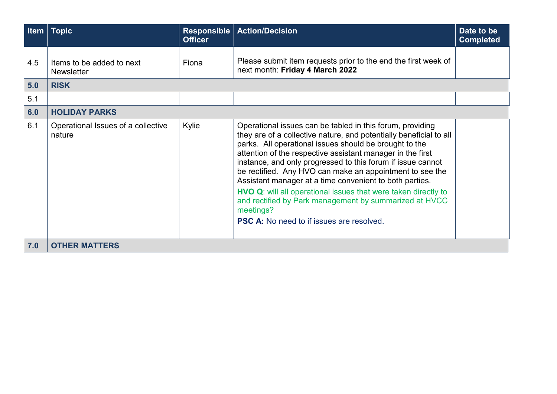| <b>Item</b> | Topic」                                         | Responsible<br><b>Officer</b> | <b>Action/Decision</b>                                                                                                                                                                                                                                                                                                                                                                                                                                                                                                                                                                                                                     | Date to be<br><b>Completed</b> |
|-------------|------------------------------------------------|-------------------------------|--------------------------------------------------------------------------------------------------------------------------------------------------------------------------------------------------------------------------------------------------------------------------------------------------------------------------------------------------------------------------------------------------------------------------------------------------------------------------------------------------------------------------------------------------------------------------------------------------------------------------------------------|--------------------------------|
|             |                                                |                               |                                                                                                                                                                                                                                                                                                                                                                                                                                                                                                                                                                                                                                            |                                |
| 4.5         | Items to be added to next<br><b>Newsletter</b> | Fiona                         | Please submit item requests prior to the end the first week of<br>next month: Friday 4 March 2022                                                                                                                                                                                                                                                                                                                                                                                                                                                                                                                                          |                                |
| 5.0         | <b>RISK</b>                                    |                               |                                                                                                                                                                                                                                                                                                                                                                                                                                                                                                                                                                                                                                            |                                |
| 5.1         |                                                |                               |                                                                                                                                                                                                                                                                                                                                                                                                                                                                                                                                                                                                                                            |                                |
| 6.0         | <b>HOLIDAY PARKS</b>                           |                               |                                                                                                                                                                                                                                                                                                                                                                                                                                                                                                                                                                                                                                            |                                |
| 6.1         | Operational Issues of a collective<br>nature   | Kylie                         | Operational issues can be tabled in this forum, providing<br>they are of a collective nature, and potentially beneficial to all<br>parks. All operational issues should be brought to the<br>attention of the respective assistant manager in the first<br>instance, and only progressed to this forum if issue cannot<br>be rectified. Any HVO can make an appointment to see the<br>Assistant manager at a time convenient to both parties.<br>HVO Q: will all operational issues that were taken directly to<br>and rectified by Park management by summarized at HVCC<br>meetings?<br><b>PSC A:</b> No need to if issues are resolved. |                                |
| 7.0         | <b>OTHER MATTERS</b>                           |                               |                                                                                                                                                                                                                                                                                                                                                                                                                                                                                                                                                                                                                                            |                                |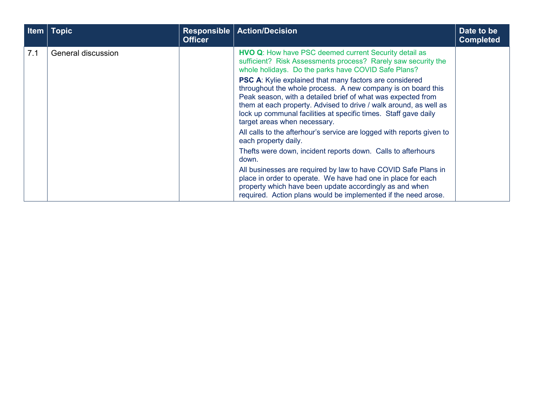| Item | Topic              | Responsible<br><b>Officer</b> | <b>Action/Decision</b>                                                                                                                                                                                                                                                                                                                                                 | Date to be<br><b>Completed</b> |
|------|--------------------|-------------------------------|------------------------------------------------------------------------------------------------------------------------------------------------------------------------------------------------------------------------------------------------------------------------------------------------------------------------------------------------------------------------|--------------------------------|
| 7.1  | General discussion |                               | <b>HVO Q:</b> How have PSC deemed current Security detail as<br>sufficient? Risk Assessments process? Rarely saw security the<br>whole holidays. Do the parks have COVID Safe Plans?                                                                                                                                                                                   |                                |
|      |                    |                               | <b>PSC A:</b> Kylie explained that many factors are considered<br>throughout the whole process. A new company is on board this<br>Peak season, with a detailed brief of what was expected from<br>them at each property. Advised to drive / walk around, as well as<br>lock up communal facilities at specific times. Staff gave daily<br>target areas when necessary. |                                |
|      |                    |                               | All calls to the afterhour's service are logged with reports given to<br>each property daily.                                                                                                                                                                                                                                                                          |                                |
|      |                    |                               | Thefts were down, incident reports down. Calls to afterhours<br>down.                                                                                                                                                                                                                                                                                                  |                                |
|      |                    |                               | All businesses are required by law to have COVID Safe Plans in<br>place in order to operate. We have had one in place for each<br>property which have been update accordingly as and when<br>required. Action plans would be implemented if the need arose.                                                                                                            |                                |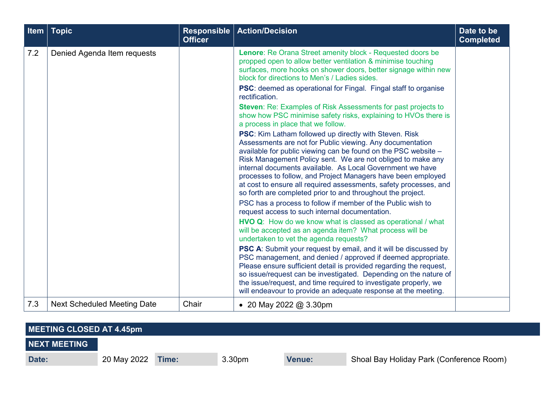| Item | <b>Topic</b>                       | <b>Responsible</b><br><b>Officer</b> | <b>Action/Decision</b>                                                                                                                                                                                                                                                                                                                                                                                                                                                                                                       | Date to be<br><b>Completed</b> |
|------|------------------------------------|--------------------------------------|------------------------------------------------------------------------------------------------------------------------------------------------------------------------------------------------------------------------------------------------------------------------------------------------------------------------------------------------------------------------------------------------------------------------------------------------------------------------------------------------------------------------------|--------------------------------|
| 7.2  | Denied Agenda Item requests        |                                      | Lenore: Re Orana Street amenity block - Requested doors be<br>propped open to allow better ventilation & minimise touching<br>surfaces, more hooks on shower doors, better signage within new<br>block for directions to Men's / Ladies sides.<br><b>PSC:</b> deemed as operational for Fingal. Fingal staff to organise<br>rectification.<br><b>Steven: Re: Examples of Risk Assessments for past projects to</b>                                                                                                           |                                |
|      |                                    |                                      | show how PSC minimise safety risks, explaining to HVOs there is<br>a process in place that we follow.                                                                                                                                                                                                                                                                                                                                                                                                                        |                                |
|      |                                    |                                      | <b>PSC:</b> Kim Latham followed up directly with Steven. Risk<br>Assessments are not for Public viewing. Any documentation<br>available for public viewing can be found on the PSC website -<br>Risk Management Policy sent. We are not obliged to make any<br>internal documents available. As Local Government we have<br>processes to follow, and Project Managers have been employed<br>at cost to ensure all required assessments, safety processes, and<br>so forth are completed prior to and throughout the project. |                                |
|      |                                    |                                      | PSC has a process to follow if member of the Public wish to<br>request access to such internal documentation.                                                                                                                                                                                                                                                                                                                                                                                                                |                                |
|      |                                    |                                      | HVO Q: How do we know what is classed as operational / what<br>will be accepted as an agenda item? What process will be<br>undertaken to vet the agenda requests?                                                                                                                                                                                                                                                                                                                                                            |                                |
|      |                                    |                                      | <b>PSC A:</b> Submit your request by email, and it will be discussed by<br>PSC management, and denied / approved if deemed appropriate.<br>Please ensure sufficient detail is provided regarding the request,<br>so issue/request can be investigated. Depending on the nature of<br>the issue/request, and time required to investigate properly, we<br>will endeavour to provide an adequate response at the meeting.                                                                                                      |                                |
| 7.3  | <b>Next Scheduled Meeting Date</b> | Chair                                | • 20 May 2022 @ 3.30pm                                                                                                                                                                                                                                                                                                                                                                                                                                                                                                       |                                |

| MEETING CLOSED AT 4.45pm |             |       |                    |               |                                          |
|--------------------------|-------------|-------|--------------------|---------------|------------------------------------------|
| <b>NEXT MEETING</b>      |             |       |                    |               |                                          |
| Date:                    | 20 May 2022 | Time: | 3.30 <sub>pm</sub> | <b>Venue:</b> | Shoal Bay Holiday Park (Conference Room) |